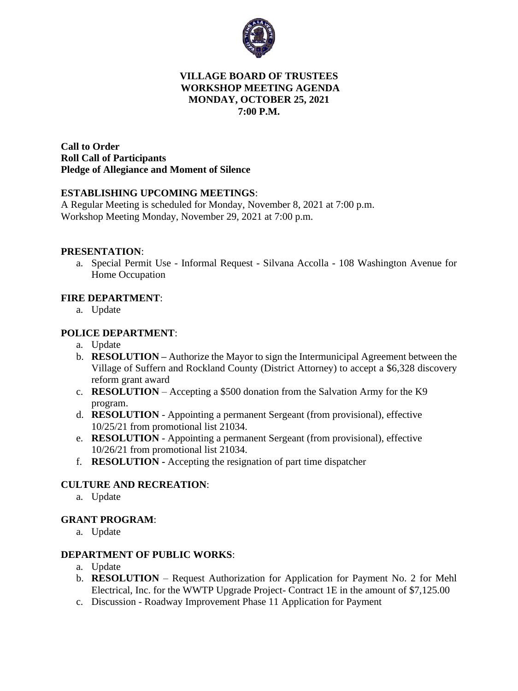

## **VILLAGE BOARD OF TRUSTEES WORKSHOP MEETING AGENDA MONDAY, OCTOBER 25, 2021 7:00 P.M.**

**Call to Order Roll Call of Participants Pledge of Allegiance and Moment of Silence** 

## **ESTABLISHING UPCOMING MEETINGS**:

A Regular Meeting is scheduled for Monday, November 8, 2021 at 7:00 p.m. Workshop Meeting Monday, November 29, 2021 at 7:00 p.m.

#### **PRESENTATION**:

a. Special Permit Use - Informal Request - Silvana Accolla - 108 Washington Avenue for Home Occupation

## **FIRE DEPARTMENT**:

a. Update

## **POLICE DEPARTMENT**:

- a. Update
- b. **RESOLUTION –** Authorize the Mayor to sign the Intermunicipal Agreement between the Village of Suffern and Rockland County (District Attorney) to accept a \$6,328 discovery reform grant award
- c. **RESOLUTION** Accepting a \$500 donation from the Salvation Army for the K9 program.
- d. **RESOLUTION** Appointing a permanent Sergeant (from provisional), effective 10/25/21 from promotional list 21034.
- e. **RESOLUTION** Appointing a permanent Sergeant (from provisional), effective 10/26/21 from promotional list 21034.
- f. **RESOLUTION -** Accepting the resignation of part time dispatcher

## **CULTURE AND RECREATION**:

a. Update

## **GRANT PROGRAM**:

a. Update

#### **DEPARTMENT OF PUBLIC WORKS**:

- a. Update
- b. **RESOLUTION** Request Authorization for Application for Payment No. 2 for Mehl Electrical, Inc. for the WWTP Upgrade Project- Contract 1E in the amount of \$7,125.00
- c. Discussion Roadway Improvement Phase 11 Application for Payment